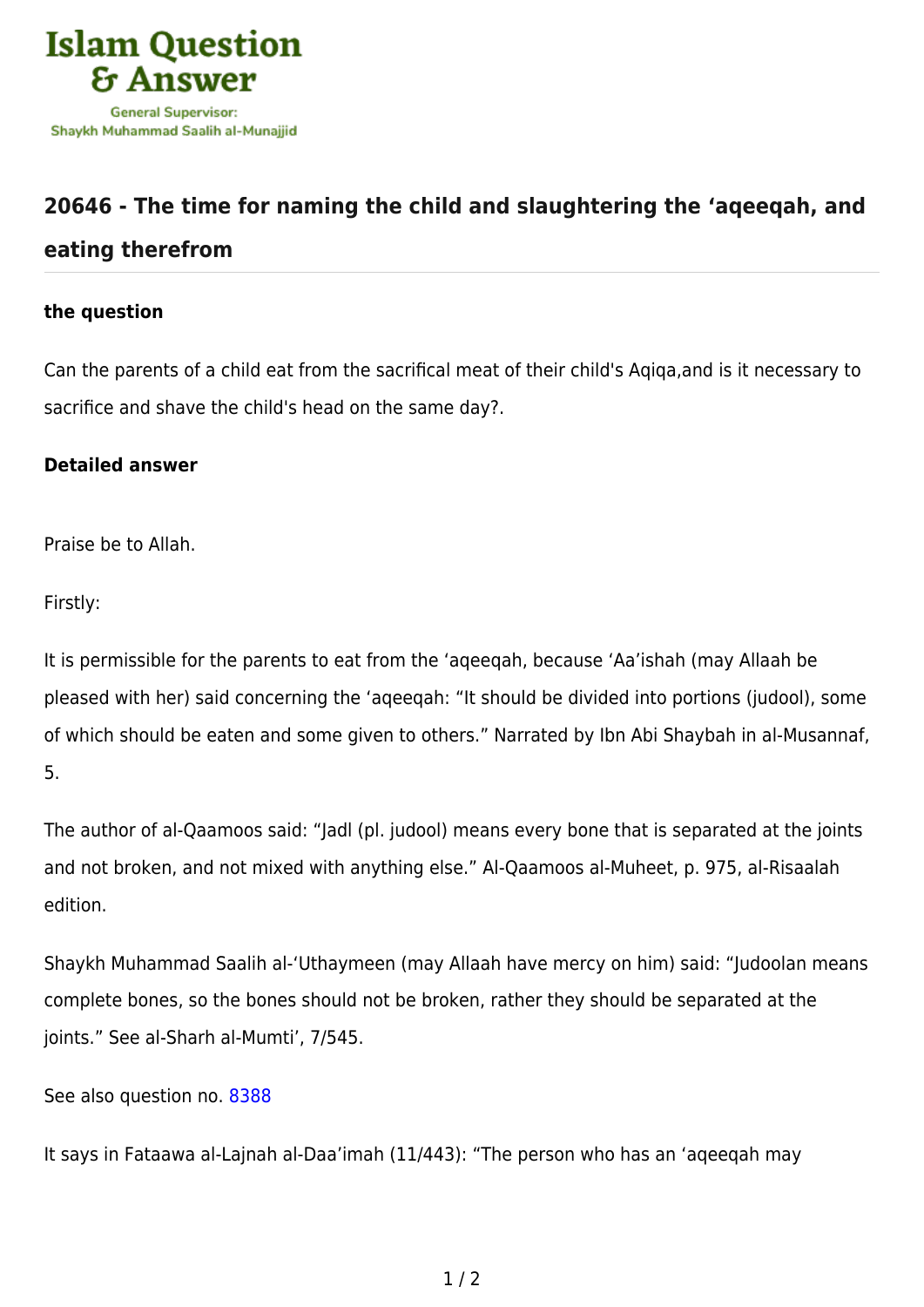

## **[20646 - The time for naming the child and slaughtering the 'aqeeqah, and](https://islamqa.com/en/answers/20646/the-time-for-naming-the-child-and-slaughtering-the-aqeeqah-and-eating-therefrom) [eating therefrom](https://islamqa.com/en/answers/20646/the-time-for-naming-the-child-and-slaughtering-the-aqeeqah-and-eating-therefrom)**

## **the question**

Can the parents of a child eat from the sacrifical meat of their child's Aqiqa,and is it necessary to sacrifice and shave the child's head on the same day?.

## **Detailed answer**

Praise be to Allah.

Firstly:

It is permissible for the parents to eat from the 'aqeeqah, because 'Aa'ishah (may Allaah be pleased with her) said concerning the 'aqeeqah: "It should be divided into portions (judool), some of which should be eaten and some given to others." Narrated by Ibn Abi Shaybah in al-Musannaf, 5.

The author of al-Qaamoos said: "Jadl (pl. judool) means every bone that is separated at the joints and not broken, and not mixed with anything else." Al-Qaamoos al-Muheet, p. 975, al-Risaalah edition.

Shaykh Muhammad Saalih al-'Uthaymeen (may Allaah have mercy on him) said: "Judoolan means complete bones, so the bones should not be broken, rather they should be separated at the joints." See al-Sharh al-Mumti', 7/545.

## See also question no. [8388](https://islamqa.com/en/answers/8388)

It says in Fataawa al-Lajnah al-Daa'imah (11/443): "The person who has an 'aqeeqah may